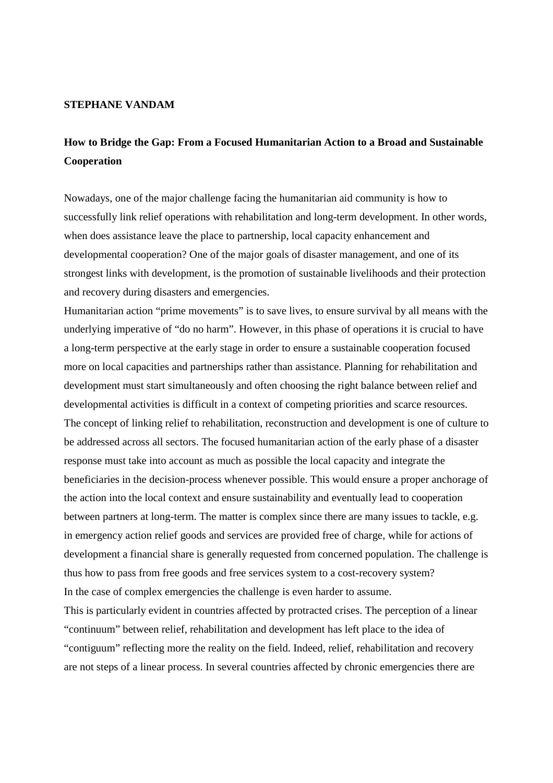## **STEPHANE VANDAM**

## **How to Bridge the Gap: From a Focused Humanitarian Action to a Broad and Sustainable Cooperation**

Nowadays, one of the major challenge facing the humanitarian aid community is how to successfully link relief operations with rehabilitation and long-term development. In other words, when does assistance leave the place to partnership, local capacity enhancement and developmental cooperation? One of the major goals of disaster management, and one of its strongest links with development, is the promotion of sustainable livelihoods and their protection and recovery during disasters and emergencies.

Humanitarian action "prime movements" is to save lives, to ensure survival by all means with the underlying imperative of "do no harm". However, in this phase of operations it is crucial to have a long-term perspective at the early stage in order to ensure a sustainable cooperation focused more on local capacities and partnerships rather than assistance. Planning for rehabilitation and development must start simultaneously and often choosing the right balance between relief and developmental activities is difficult in a context of competing priorities and scarce resources. The concept of linking relief to rehabilitation, reconstruction and development is one of culture to be addressed across all sectors. The focused humanitarian action of the early phase of a disaster response must take into account as much as possible the local capacity and integrate the beneficiaries in the decision-process whenever possible. This would ensure a proper anchorage of the action into the local context and ensure sustainability and eventually lead to cooperation between partners at long-term. The matter is complex since there are many issues to tackle, e.g. in emergency action relief goods and services are provided free of charge, while for actions of development a financial share is generally requested from concerned population. The challenge is thus how to pass from free goods and free services system to a cost-recovery system? In the case of complex emergencies the challenge is even harder to assume.

This is particularly evident in countries affected by protracted crises. The perception of a linear "continuum" between relief, rehabilitation and development has left place to the idea of "contiguum" reflecting more the reality on the field. Indeed, relief, rehabilitation and recovery are not steps of a linear process. In several countries affected by chronic emergencies there are